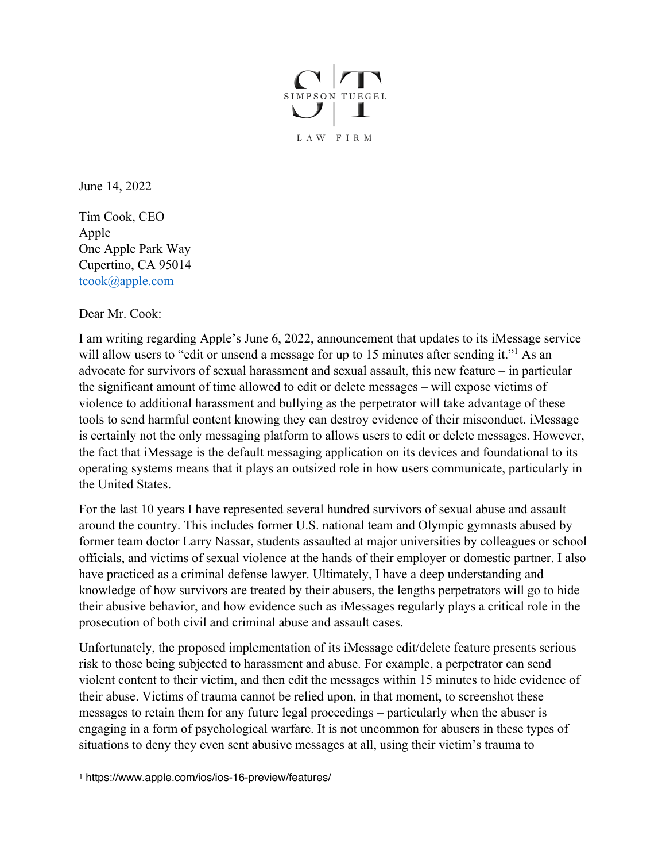

June 14, 2022

Tim Cook, CEO Apple One Apple Park Way Cupertino, CA 95014 tcook@apple.com

Dear Mr. Cook:

I am writing regarding Apple's June 6, 2022, announcement that updates to its iMessage service will allow users to "edit or unsend a message for up to 15 minutes after sending it."<sup>1</sup> As an advocate for survivors of sexual harassment and sexual assault, this new feature – in particular the significant amount of time allowed to edit or delete messages – will expose victims of violence to additional harassment and bullying as the perpetrator will take advantage of these tools to send harmful content knowing they can destroy evidence of their misconduct. iMessage is certainly not the only messaging platform to allows users to edit or delete messages. However, the fact that iMessage is the default messaging application on its devices and foundational to its operating systems means that it plays an outsized role in how users communicate, particularly in the United States.

For the last 10 years I have represented several hundred survivors of sexual abuse and assault around the country. This includes former U.S. national team and Olympic gymnasts abused by former team doctor Larry Nassar, students assaulted at major universities by colleagues or school officials, and victims of sexual violence at the hands of their employer or domestic partner. I also have practiced as a criminal defense lawyer. Ultimately, I have a deep understanding and knowledge of how survivors are treated by their abusers, the lengths perpetrators will go to hide their abusive behavior, and how evidence such as iMessages regularly plays a critical role in the prosecution of both civil and criminal abuse and assault cases.

Unfortunately, the proposed implementation of its iMessage edit/delete feature presents serious risk to those being subjected to harassment and abuse. For example, a perpetrator can send violent content to their victim, and then edit the messages within 15 minutes to hide evidence of their abuse. Victims of trauma cannot be relied upon, in that moment, to screenshot these messages to retain them for any future legal proceedings – particularly when the abuser is engaging in a form of psychological warfare. It is not uncommon for abusers in these types of situations to deny they even sent abusive messages at all, using their victim's trauma to

<sup>1</sup> https://www.apple.com/ios/ios-16-preview/features/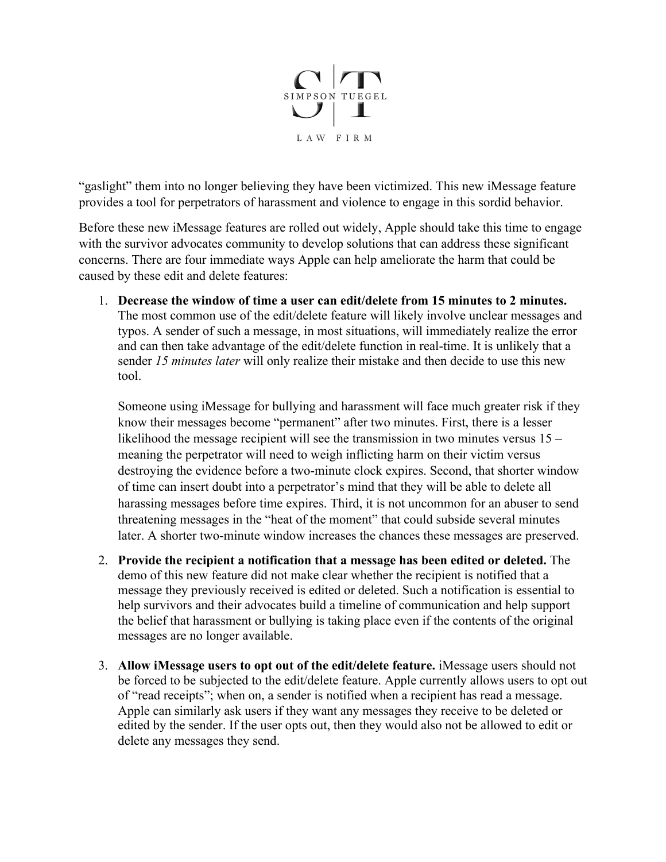

"gaslight" them into no longer believing they have been victimized. This new iMessage feature provides a tool for perpetrators of harassment and violence to engage in this sordid behavior.

Before these new iMessage features are rolled out widely, Apple should take this time to engage with the survivor advocates community to develop solutions that can address these significant concerns. There are four immediate ways Apple can help ameliorate the harm that could be caused by these edit and delete features:

1. **Decrease the window of time a user can edit/delete from 15 minutes to 2 minutes.** The most common use of the edit/delete feature will likely involve unclear messages and typos. A sender of such a message, in most situations, will immediately realize the error and can then take advantage of the edit/delete function in real-time. It is unlikely that a sender *15 minutes later* will only realize their mistake and then decide to use this new tool.

Someone using iMessage for bullying and harassment will face much greater risk if they know their messages become "permanent" after two minutes. First, there is a lesser likelihood the message recipient will see the transmission in two minutes versus 15 – meaning the perpetrator will need to weigh inflicting harm on their victim versus destroying the evidence before a two-minute clock expires. Second, that shorter window of time can insert doubt into a perpetrator's mind that they will be able to delete all harassing messages before time expires. Third, it is not uncommon for an abuser to send threatening messages in the "heat of the moment" that could subside several minutes later. A shorter two-minute window increases the chances these messages are preserved.

- 2. **Provide the recipient a notification that a message has been edited or deleted.** The demo of this new feature did not make clear whether the recipient is notified that a message they previously received is edited or deleted. Such a notification is essential to help survivors and their advocates build a timeline of communication and help support the belief that harassment or bullying is taking place even if the contents of the original messages are no longer available.
- 3. **Allow iMessage users to opt out of the edit/delete feature.** iMessage users should not be forced to be subjected to the edit/delete feature. Apple currently allows users to opt out of "read receipts"; when on, a sender is notified when a recipient has read a message. Apple can similarly ask users if they want any messages they receive to be deleted or edited by the sender. If the user opts out, then they would also not be allowed to edit or delete any messages they send.